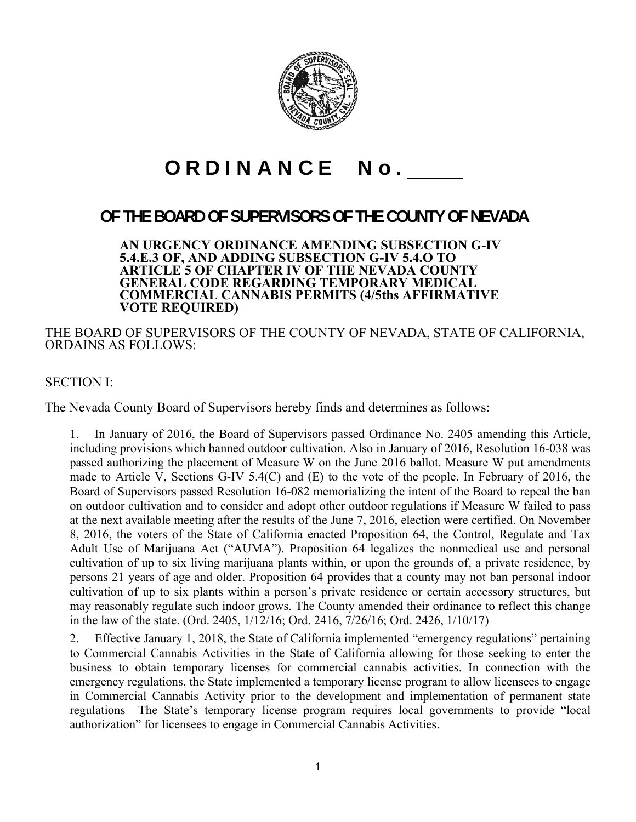

# ORDINANCE No.

# **OF THE BOARD OF SUPERVISORS OF THE COUNTY OF NEVADA**

**AN URGENCY ORDINANCE AMENDING SUBSECTION G-IV 5.4.E.3 OF, AND ADDING SUBSECTION G-IV 5.4.O TO ARTICLE 5 OF CHAPTER IV OF THE NEVADA COUNTY GENERAL CODE REGARDING TEMPORARY MEDICAL COMMERCIAL CANNABIS PERMITS (4/5ths AFFIRMATIVE VOTE REQUIRED)** 

THE BOARD OF SUPERVISORS OF THE COUNTY OF NEVADA, STATE OF CALIFORNIA, ORDAINS AS FOLLOWS:

# SECTION I:

The Nevada County Board of Supervisors hereby finds and determines as follows:

1. In January of 2016, the Board of Supervisors passed Ordinance No. 2405 amending this Article, including provisions which banned outdoor cultivation. Also in January of 2016, Resolution 16-038 was passed authorizing the placement of Measure W on the June 2016 ballot. Measure W put amendments made to Article V, Sections G-IV 5.4(C) and (E) to the vote of the people. In February of 2016, the Board of Supervisors passed Resolution 16-082 memorializing the intent of the Board to repeal the ban on outdoor cultivation and to consider and adopt other outdoor regulations if Measure W failed to pass at the next available meeting after the results of the June 7, 2016, election were certified. On November 8, 2016, the voters of the State of California enacted Proposition 64, the Control, Regulate and Tax Adult Use of Marijuana Act ("AUMA"). Proposition 64 legalizes the nonmedical use and personal cultivation of up to six living marijuana plants within, or upon the grounds of, a private residence, by persons 21 years of age and older. Proposition 64 provides that a county may not ban personal indoor cultivation of up to six plants within a person's private residence or certain accessory structures, but may reasonably regulate such indoor grows. The County amended their ordinance to reflect this change in the law of the state. (Ord. 2405, 1/12/16; Ord. 2416, 7/26/16; Ord. 2426, 1/10/17)

 2. Effective January 1, 2018, the State of California implemented "emergency regulations" pertaining to Commercial Cannabis Activities in the State of California allowing for those seeking to enter the business to obtain temporary licenses for commercial cannabis activities. In connection with the emergency regulations, the State implemented a temporary license program to allow licensees to engage in Commercial Cannabis Activity prior to the development and implementation of permanent state regulations The State's temporary license program requires local governments to provide "local authorization" for licensees to engage in Commercial Cannabis Activities.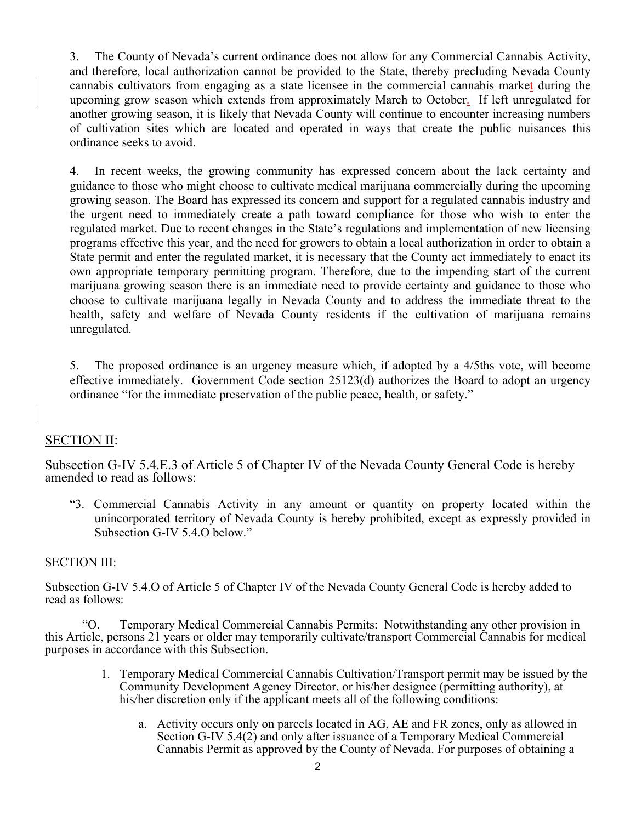3. The County of Nevada's current ordinance does not allow for any Commercial Cannabis Activity, and therefore, local authorization cannot be provided to the State, thereby precluding Nevada County cannabis cultivators from engaging as a state licensee in the commercial cannabis market during the upcoming grow season which extends from approximately March to October. If left unregulated for another growing season, it is likely that Nevada County will continue to encounter increasing numbers of cultivation sites which are located and operated in ways that create the public nuisances this ordinance seeks to avoid.

 4. In recent weeks, the growing community has expressed concern about the lack certainty and guidance to those who might choose to cultivate medical marijuana commercially during the upcoming growing season. The Board has expressed its concern and support for a regulated cannabis industry and the urgent need to immediately create a path toward compliance for those who wish to enter the regulated market. Due to recent changes in the State's regulations and implementation of new licensing programs effective this year, and the need for growers to obtain a local authorization in order to obtain a State permit and enter the regulated market, it is necessary that the County act immediately to enact its own appropriate temporary permitting program. Therefore, due to the impending start of the current marijuana growing season there is an immediate need to provide certainty and guidance to those who choose to cultivate marijuana legally in Nevada County and to address the immediate threat to the health, safety and welfare of Nevada County residents if the cultivation of marijuana remains unregulated.

 5. The proposed ordinance is an urgency measure which, if adopted by a 4/5ths vote, will become effective immediately. Government Code section 25123(d) authorizes the Board to adopt an urgency ordinance "for the immediate preservation of the public peace, health, or safety."

### SECTION II:

Subsection G-IV 5.4.E.3 of Article 5 of Chapter IV of the Nevada County General Code is hereby amended to read as follows:

"3. Commercial Cannabis Activity in any amount or quantity on property located within the unincorporated territory of Nevada County is hereby prohibited, except as expressly provided in Subsection G-IV 5.4.O below."

#### SECTION III:

Subsection G-IV 5.4.O of Article 5 of Chapter IV of the Nevada County General Code is hereby added to read as follows:

"O. Temporary Medical Commercial Cannabis Permits: Notwithstanding any other provision in this Article, persons 21 years or older may temporarily cultivate/transport Commercial Cannabis for medical purposes in accordance with this Subsection.

- 1. Temporary Medical Commercial Cannabis Cultivation/Transport permit may be issued by the Community Development Agency Director, or his/her designee (permitting authority), at his/her discretion only if the applicant meets all of the following conditions:
	- a. Activity occurs only on parcels located in AG, AE and FR zones, only as allowed in Section G-IV 5.4(2) and only after issuance of a Temporary Medical Commercial Cannabis Permit as approved by the County of Nevada. For purposes of obtaining a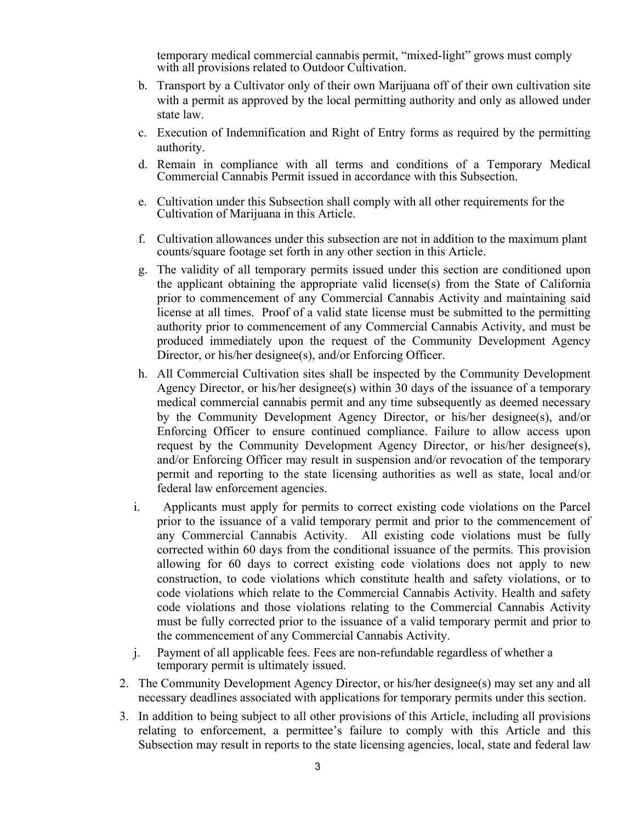temporary medical commercial cannabis permit, "mixed-light" grows must comply with all provisions related to Outdoor Cultivation.

- b. Transport by a Cultivator only of their own Marijuana off of their own cultivation site with a permit as approved by the local permitting authority and only as allowed under state law.
- c. Execution of Indemnification and Right of Entry forms as required by the permitting authority.
- d. Remain in compliance with all terms and conditions of a Temporary Medical Commercial Cannabis Permit issued in accordance with this Subsection.
- e. Cultivation under this Subsection shall comply with all other requirements for the Cultivation of Marijuana in this Article.
- f. Cultivation allowances under this subsection are not in addition to the maximum plant counts/square footage set forth in any other section in this Article.
- g. The validity of all temporary permits issued under this section are conditioned upon the applicant obtaining the appropriate valid license(s) from the State of California prior to commencement of any Commercial Cannabis Activity and maintaining said license at all times. Proof of a valid state license must be submitted to the permitting authority prior to commencement of any Commercial Cannabis Activity, and must be produced immediately upon the request of the Community Development Agency Director, or his/her designee(s), and/or Enforcing Officer.
- h. All Commercial Cultivation sites shall be inspected by the Community Development Agency Director, or his/her designee(s) within 30 days of the issuance of a temporary medical commercial cannabis permit and any time subsequently as deemed necessary by the Community Development Agency Director, or his/her designee(s), and/or Enforcing Officer to ensure continued compliance. Failure to allow access upon request by the Community Development Agency Director, or his/her designee(s), and/or Enforcing Officer may result in suspension and/or revocation of the temporary permit and reporting to the state licensing authorities as well as state, local and/or federal law enforcement agencies.
- i. Applicants must apply for permits to correct existing code violations on the Parcel prior to the issuance of a valid temporary permit and prior to the commencement of any Commercial Cannabis Activity. All existing code violations must be fully corrected within 60 days from the conditional issuance of the permits. This provision allowing for 60 days to correct existing code violations does not apply to new construction, to code violations which constitute health and safety violations, or to code violations which relate to the Commercial Cannabis Activity. Health and safety code violations and those violations relating to the Commercial Cannabis Activity must be fully corrected prior to the issuance of a valid temporary permit and prior to the commencement of any Commercial Cannabis Activity.
- j. Payment of all applicable fees. Fees are non-refundable regardless of whether a temporary permit is ultimately issued.
- 2. The Community Development Agency Director, or his/her designee(s) may set any and all necessary deadlines associated with applications for temporary permits under this section.
- 3. In addition to being subject to all other provisions of this Article, including all provisions relating to enforcement, a permittee's failure to comply with this Article and this Subsection may result in reports to the state licensing agencies, local, state and federal law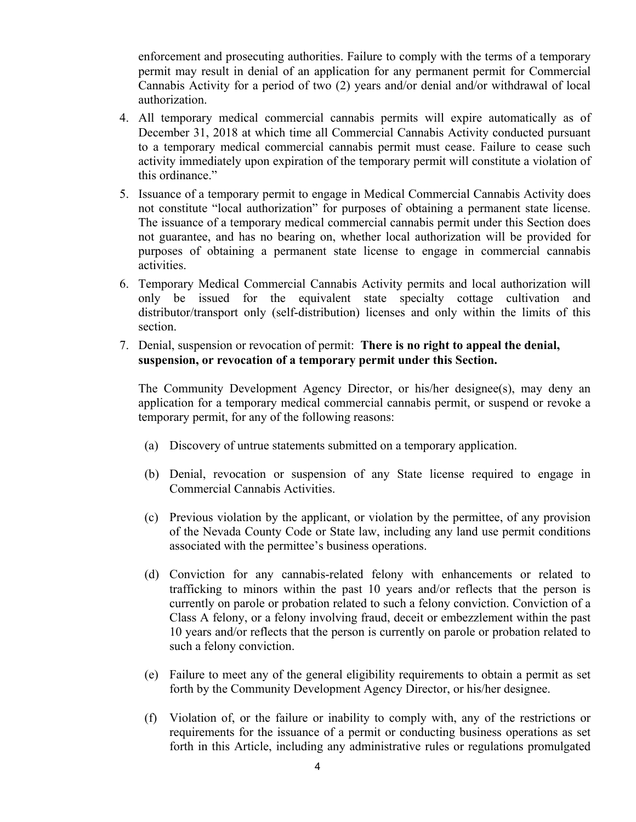enforcement and prosecuting authorities. Failure to comply with the terms of a temporary permit may result in denial of an application for any permanent permit for Commercial Cannabis Activity for a period of two (2) years and/or denial and/or withdrawal of local authorization.

- 4. All temporary medical commercial cannabis permits will expire automatically as of December 31, 2018 at which time all Commercial Cannabis Activity conducted pursuant to a temporary medical commercial cannabis permit must cease. Failure to cease such activity immediately upon expiration of the temporary permit will constitute a violation of this ordinance."
- 5. Issuance of a temporary permit to engage in Medical Commercial Cannabis Activity does not constitute "local authorization" for purposes of obtaining a permanent state license. The issuance of a temporary medical commercial cannabis permit under this Section does not guarantee, and has no bearing on, whether local authorization will be provided for purposes of obtaining a permanent state license to engage in commercial cannabis activities.
- 6. Temporary Medical Commercial Cannabis Activity permits and local authorization will only be issued for the equivalent state specialty cottage cultivation and distributor/transport only (self-distribution) licenses and only within the limits of this section.
- 7. Denial, suspension or revocation of permit: **There is no right to appeal the denial, suspension, or revocation of a temporary permit under this Section.**

The Community Development Agency Director, or his/her designee(s), may deny an application for a temporary medical commercial cannabis permit, or suspend or revoke a temporary permit, for any of the following reasons:

- (a) Discovery of untrue statements submitted on a temporary application.
- (b) Denial, revocation or suspension of any State license required to engage in Commercial Cannabis Activities.
- (c) Previous violation by the applicant, or violation by the permittee, of any provision of the Nevada County Code or State law, including any land use permit conditions associated with the permittee's business operations.
- (d) Conviction for any cannabis-related felony with enhancements or related to trafficking to minors within the past 10 years and/or reflects that the person is currently on parole or probation related to such a felony conviction. Conviction of a Class A felony, or a felony involving fraud, deceit or embezzlement within the past 10 years and/or reflects that the person is currently on parole or probation related to such a felony conviction.
- (e) Failure to meet any of the general eligibility requirements to obtain a permit as set forth by the Community Development Agency Director, or his/her designee.
- (f) Violation of, or the failure or inability to comply with, any of the restrictions or requirements for the issuance of a permit or conducting business operations as set forth in this Article, including any administrative rules or regulations promulgated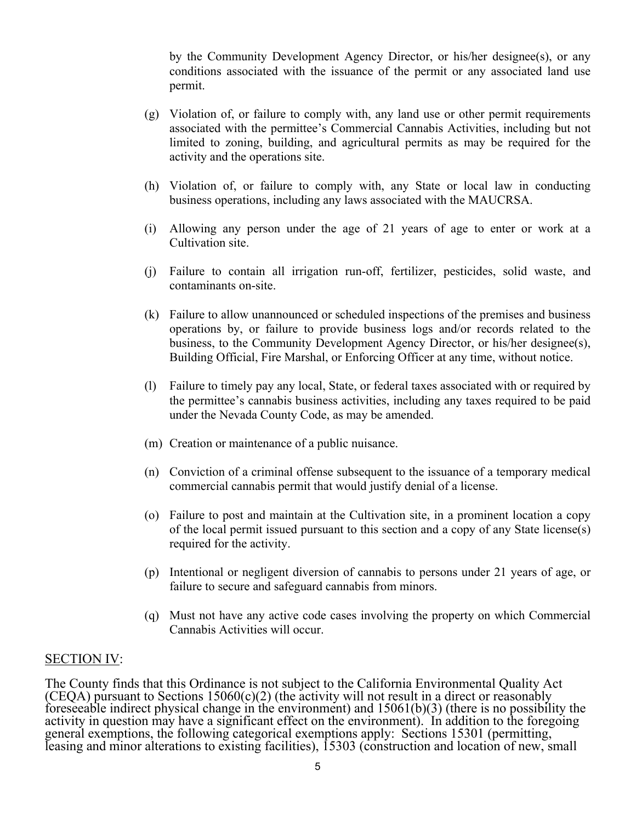by the Community Development Agency Director, or his/her designee(s), or any conditions associated with the issuance of the permit or any associated land use permit.

- (g) Violation of, or failure to comply with, any land use or other permit requirements associated with the permittee's Commercial Cannabis Activities, including but not limited to zoning, building, and agricultural permits as may be required for the activity and the operations site.
- (h) Violation of, or failure to comply with, any State or local law in conducting business operations, including any laws associated with the MAUCRSA.
- (i) Allowing any person under the age of 21 years of age to enter or work at a Cultivation site.
- (j) Failure to contain all irrigation run-off, fertilizer, pesticides, solid waste, and contaminants on-site.
- (k) Failure to allow unannounced or scheduled inspections of the premises and business operations by, or failure to provide business logs and/or records related to the business, to the Community Development Agency Director, or his/her designee(s), Building Official, Fire Marshal, or Enforcing Officer at any time, without notice.
- (l) Failure to timely pay any local, State, or federal taxes associated with or required by the permittee's cannabis business activities, including any taxes required to be paid under the Nevada County Code, as may be amended.
- (m) Creation or maintenance of a public nuisance.
- (n) Conviction of a criminal offense subsequent to the issuance of a temporary medical commercial cannabis permit that would justify denial of a license.
- (o) Failure to post and maintain at the Cultivation site, in a prominent location a copy of the local permit issued pursuant to this section and a copy of any State license(s) required for the activity.
- (p) Intentional or negligent diversion of cannabis to persons under 21 years of age, or failure to secure and safeguard cannabis from minors.
- (q) Must not have any active code cases involving the property on which Commercial Cannabis Activities will occur.

#### SECTION IV:

The County finds that this Ordinance is not subject to the California Environmental Quality Act (CEQA) pursuant to Sections  $15060(c)(2)$  (the activity will not result in a direct or reasonably foreseeable indirect physical change in the environment) and  $15061(b)(3)$  (there is no possibility the activity in question may have a significant effect on the environment). In addition to the foregoing general exemptions, the following categorical exemptions apply: Sections 15301 (permitting, leasing and minor alterations to existing facilities), 15303 (construction and location of new, small